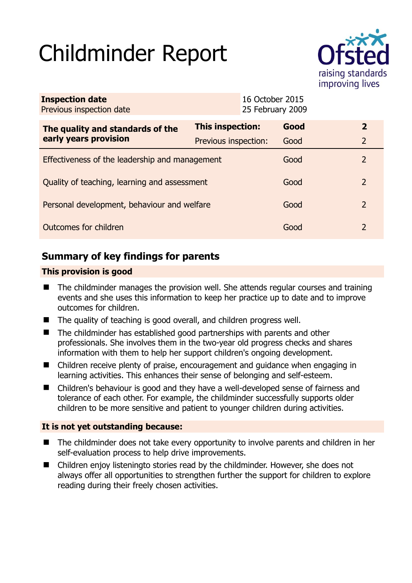# Childminder Report



| <b>Inspection date</b><br>Previous inspection date |                      | 16 October 2015<br>25 February 2009 |      |               |
|----------------------------------------------------|----------------------|-------------------------------------|------|---------------|
| The quality and standards of the                   | This inspection:     |                                     | Good | $\mathbf{2}$  |
| early years provision                              | Previous inspection: |                                     | Good | 2             |
| Effectiveness of the leadership and management     |                      |                                     | Good | $\mathcal{P}$ |
| Quality of teaching, learning and assessment       |                      |                                     | Good | $\mathcal{P}$ |
| Personal development, behaviour and welfare        |                      |                                     | Good | 2             |
| Outcomes for children                              |                      |                                     | Good | $\mathcal{P}$ |

# **Summary of key findings for parents**

## **This provision is good**

- The childminder manages the provision well. She attends regular courses and training events and she uses this information to keep her practice up to date and to improve outcomes for children.
- The quality of teaching is good overall, and children progress well.
- The childminder has established good partnerships with parents and other professionals. She involves them in the two-year old progress checks and shares information with them to help her support children's ongoing development.
- Children receive plenty of praise, encouragement and guidance when engaging in learning activities. This enhances their sense of belonging and self-esteem.
- Children's behaviour is good and they have a well-developed sense of fairness and tolerance of each other. For example, the childminder successfully supports older children to be more sensitive and patient to younger children during activities.

### **It is not yet outstanding because:**

- The childminder does not take every opportunity to involve parents and children in her self-evaluation process to help drive improvements.
- Children enjoy listeningto stories read by the childminder. However, she does not always offer all opportunities to strengthen further the support for children to explore reading during their freely chosen activities.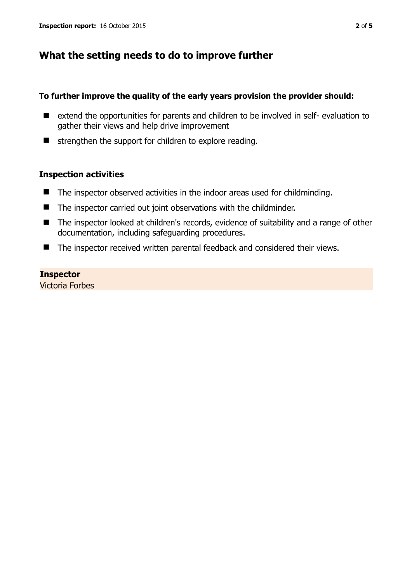## **What the setting needs to do to improve further**

#### **To further improve the quality of the early years provision the provider should:**

- extend the opportunities for parents and children to be involved in self- evaluation to gather their views and help drive improvement
- $\blacksquare$  strengthen the support for children to explore reading.

#### **Inspection activities**

- The inspector observed activities in the indoor areas used for childminding.
- The inspector carried out joint observations with the childminder.
- The inspector looked at children's records, evidence of suitability and a range of other documentation, including safeguarding procedures.
- The inspector received written parental feedback and considered their views.

#### **Inspector**

Victoria Forbes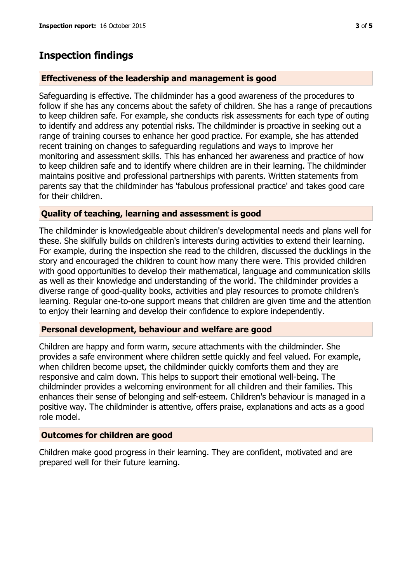## **Inspection findings**

#### **Effectiveness of the leadership and management is good**

Safeguarding is effective. The childminder has a good awareness of the procedures to follow if she has any concerns about the safety of children. She has a range of precautions to keep children safe. For example, she conducts risk assessments for each type of outing to identify and address any potential risks. The childminder is proactive in seeking out a range of training courses to enhance her good practice. For example, she has attended recent training on changes to safeguarding regulations and ways to improve her monitoring and assessment skills. This has enhanced her awareness and practice of how to keep children safe and to identify where children are in their learning. The childminder maintains positive and professional partnerships with parents. Written statements from parents say that the childminder has 'fabulous professional practice' and takes good care for their children.

#### **Quality of teaching, learning and assessment is good**

The childminder is knowledgeable about children's developmental needs and plans well for these. She skilfully builds on children's interests during activities to extend their learning. For example, during the inspection she read to the children, discussed the ducklings in the story and encouraged the children to count how many there were. This provided children with good opportunities to develop their mathematical, language and communication skills as well as their knowledge and understanding of the world. The childminder provides a diverse range of good-quality books, activities and play resources to promote children's learning. Regular one-to-one support means that children are given time and the attention to enjoy their learning and develop their confidence to explore independently.

#### **Personal development, behaviour and welfare are good**

Children are happy and form warm, secure attachments with the childminder. She provides a safe environment where children settle quickly and feel valued. For example, when children become upset, the childminder quickly comforts them and they are responsive and calm down. This helps to support their emotional well-being. The childminder provides a welcoming environment for all children and their families. This enhances their sense of belonging and self-esteem. Children's behaviour is managed in a positive way. The childminder is attentive, offers praise, explanations and acts as a good role model.

#### **Outcomes for children are good**

Children make good progress in their learning. They are confident, motivated and are prepared well for their future learning.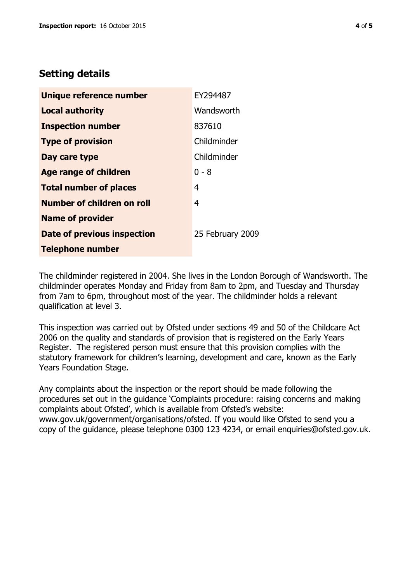## **Setting details**

| Unique reference number            | EY294487         |
|------------------------------------|------------------|
| <b>Local authority</b>             | Wandsworth       |
| <b>Inspection number</b>           | 837610           |
| <b>Type of provision</b>           | Childminder      |
| Day care type                      | Childminder      |
| <b>Age range of children</b>       | $0 - 8$          |
| <b>Total number of places</b>      | 4                |
| Number of children on roll         | 4                |
| <b>Name of provider</b>            |                  |
| <b>Date of previous inspection</b> | 25 February 2009 |
| <b>Telephone number</b>            |                  |

The childminder registered in 2004. She lives in the London Borough of Wandsworth. The childminder operates Monday and Friday from 8am to 2pm, and Tuesday and Thursday from 7am to 6pm, throughout most of the year. The childminder holds a relevant qualification at level 3.

This inspection was carried out by Ofsted under sections 49 and 50 of the Childcare Act 2006 on the quality and standards of provision that is registered on the Early Years Register. The registered person must ensure that this provision complies with the statutory framework for children's learning, development and care, known as the Early Years Foundation Stage.

Any complaints about the inspection or the report should be made following the procedures set out in the guidance 'Complaints procedure: raising concerns and making complaints about Ofsted', which is available from Ofsted's website: www.gov.uk/government/organisations/ofsted. If you would like Ofsted to send you a copy of the guidance, please telephone 0300 123 4234, or email enquiries@ofsted.gov.uk.